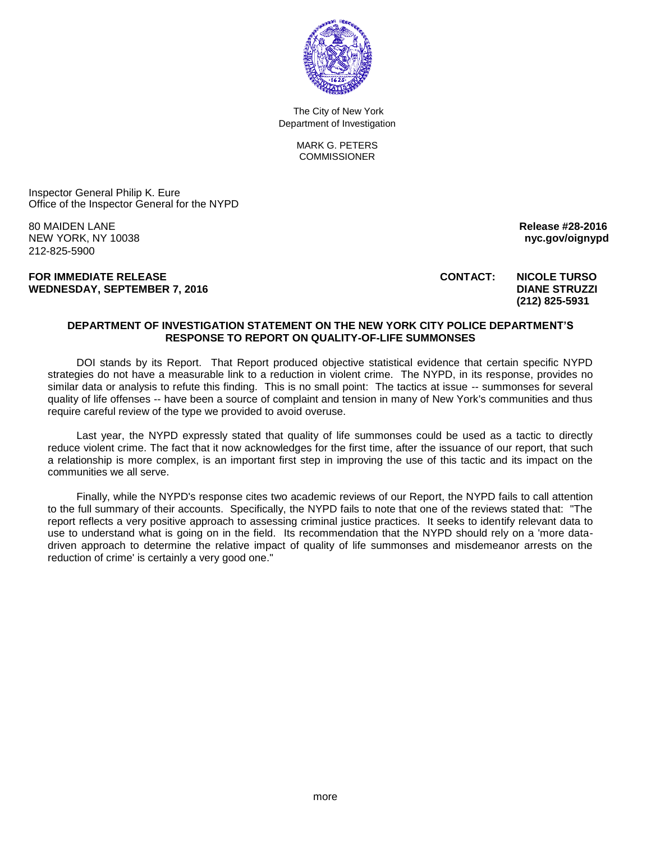

 The City of New York Department of Investigation

> MARK G. PETERS **COMMISSIONER**

Inspector General Philip K. Eure Office of the Inspector General for the NYPD

80 MAIDEN LANE **Release #28-2016**  NEW YORK, NY 10038 **nyc.gov/oignypd** 212-825-5900

**FOR IMMEDIATE RELEASE CONTACT: NICOLE TURSO**  WEDNESDAY, SEPTEMBER 7, 2016 **DIANE STRUZZI DIANE STRUZZI** 

## **(212) 825-5931**

## **DEPARTMENT OF INVESTIGATION STATEMENT ON THE NEW YORK CITY POLICE DEPARTMENT'S RESPONSE TO REPORT ON QUALITY-OF-LIFE SUMMONSES**

DOI stands by its Report. That Report produced objective statistical evidence that certain specific NYPD strategies do not have a measurable link to a reduction in violent crime. The NYPD, in its response, provides no similar data or analysis to refute this finding. This is no small point: The tactics at issue -- summonses for several quality of life offenses -- have been a source of complaint and tension in many of New York's communities and thus require careful review of the type we provided to avoid overuse.

Last year, the NYPD expressly stated that quality of life summonses could be used as a tactic to directly reduce violent crime. The fact that it now acknowledges for the first time, after the issuance of our report, that such a relationship is more complex, is an important first step in improving the use of this tactic and its impact on the communities we all serve.

Finally, while the NYPD's response cites two academic reviews of our Report, the NYPD fails to call attention to the full summary of their accounts. Specifically, the NYPD fails to note that one of the reviews stated that: "The report reflects a very positive approach to assessing criminal justice practices. It seeks to identify relevant data to use to understand what is going on in the field. Its recommendation that the NYPD should rely on a 'more datadriven approach to determine the relative impact of quality of life summonses and misdemeanor arrests on the reduction of crime' is certainly a very good one."